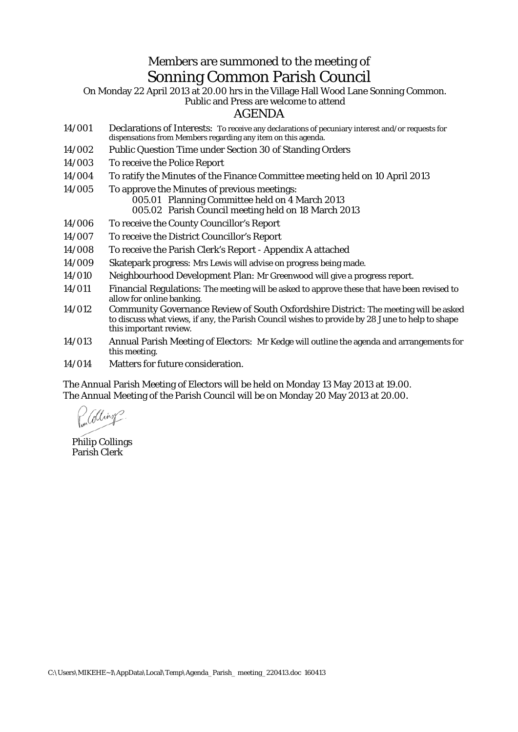## Members are summoned to the meeting of Sonning Common Parish Council

On Monday 22 April 2013 at 20.00 hrs in the Village Hall Wood Lane Sonning Common. Public and Press are welcome to attend

## AGENDA

- 14/001 Declarations of Interests: To receive any declarations of pecuniary interest and/or requests for dispensations from Members regarding any item on this agenda.
- 14/002 Public Question Time under Section 30 of Standing Orders
- 14/003 To receive the Police Report
- 14/004 To ratify the Minutes of the Finance Committee meeting held on 10 April 2013
- 14/005 To approve the Minutes of previous meetings: 005.01 Planning Committee held on 4 March 2013 005.02 Parish Council meeting held on 18 March 2013
- 14/006 To receive the County Councillor's Report
- 14/007 To receive the District Councillor's Report
- 14/008 To receive the Parish Clerk's Report Appendix A attached
- 14/009 Skatepark progress: Mrs Lewis will advise on progress being made.
- 14/010 Neighbourhood Development Plan: Mr Greenwood will give a progress report.
- 14/011 Financial Regulations: The meeting will be asked to approve these that have been revised to allow for online banking.
- 14/012 Community Governance Review of South Oxfordshire District: The meeting will be asked to discuss what views, if any, the Parish Council wishes to provide by 28 June to help to shape this important review.
- 14/013 Annual Parish Meeting of Electors: Mr Kedge will outline the agenda and arrangements for this meeting.
- 14/014 Matters for future consideration.

The Annual Parish Meeting of Electors will be held on Monday 13 May 2013 at 19.00. The Annual Meeting of the Parish Council will be on Monday 20 May 2013 at 20.00.

*(Ding* 

Philip Collings Parish Clerk